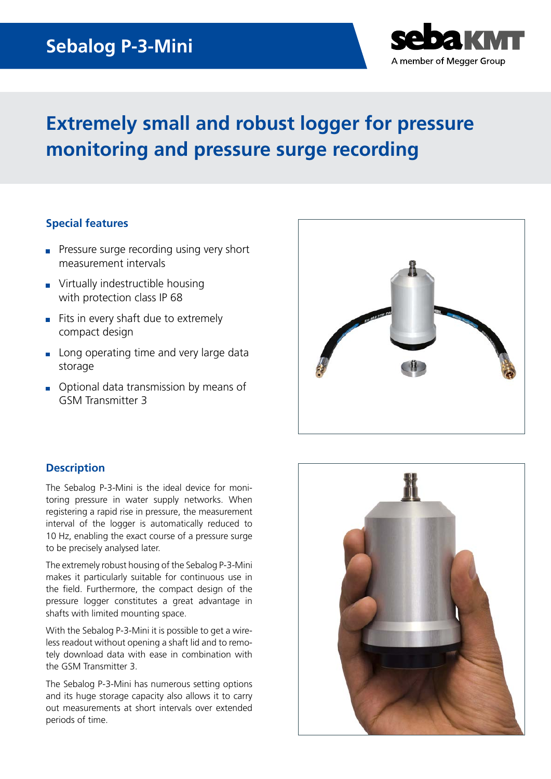## **Sebalog P-3-Mini**



# **Extremely small and robust logger for pressure monitoring and pressure surge recording**

### **Special features**

- **Pressure surge recording using very short** measurement intervals
- **Virtually indestructible housing** with protection class IP 68
- Fits in every shaft due to extremely compact design
- Long operating time and very large data storage
- Optional data transmission by means of GSM Transmitter 3



### **Description**

The Sebalog P-3-Mini is the ideal device for monitoring pressure in water supply networks. When registering a rapid rise in pressure, the measurement interval of the logger is automatically reduced to 10 Hz, enabling the exact course of a pressure surge to be precisely analysed later.

The extremely robust housing of the Sebalog P-3-Mini makes it particularly suitable for continuous use in the field. Furthermore, the compact design of the pressure logger constitutes a great advantage in shafts with limited mounting space.

With the Sebalog P-3-Mini it is possible to get a wireless readout without opening a shaft lid and to remotely download data with ease in combination with the GSM Transmitter 3.

The Sebalog P-3-Mini has numerous setting options and its huge storage capacity also allows it to carry out measurements at short intervals over extended periods of time.